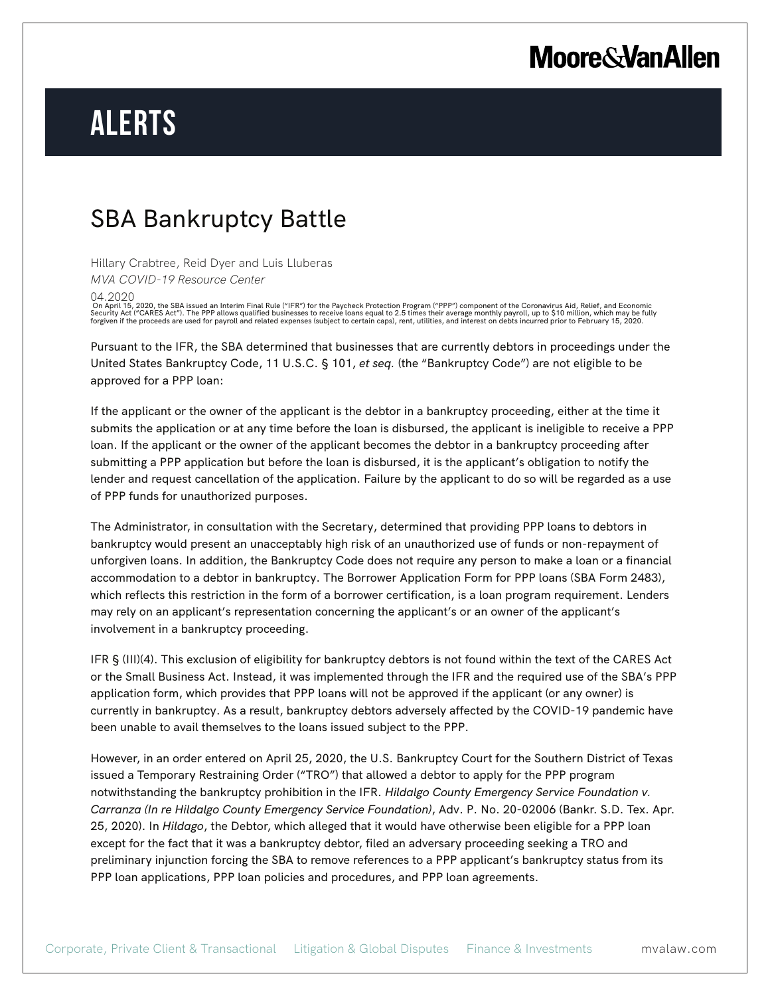# **Moore & Van Allen**

# **Alerts**

### SBA Bankruptcy Battle

Hillary Crabtree, Reid Dyer and Luis Lluberas

*MVA COVID-19 Resource Center*

04.2020

On April 15, 2020, the SBA issued an Interim Final Rule ("IFR") for the Paycheck Protection Program ("PPP") component of the Coronavirus Aid, Relief, and Economic Security Act ("CARES Act"). The PPP allows qualified businesses to receive loans equal to 2.5 times their average monthly payroll, up to \$10 million, which may be fully<br>forgiven if the proceeds are used for payroll and rel

Pursuant to the IFR, the SBA determined that businesses that are currently debtors in proceedings under the United States Bankruptcy Code, 11 U.S.C. § 101, *et seq.* (the "Bankruptcy Code") are not eligible to be approved for a PPP loan:

If the applicant or the owner of the applicant is the debtor in a bankruptcy proceeding, either at the time it submits the application or at any time before the loan is disbursed, the applicant is ineligible to receive a PPP loan. If the applicant or the owner of the applicant becomes the debtor in a bankruptcy proceeding after submitting a PPP application but before the loan is disbursed, it is the applicant's obligation to notify the lender and request cancellation of the application. Failure by the applicant to do so will be regarded as a use of PPP funds for unauthorized purposes.

The Administrator, in consultation with the Secretary, determined that providing PPP loans to debtors in bankruptcy would present an unacceptably high risk of an unauthorized use of funds or non-repayment of unforgiven loans. In addition, the Bankruptcy Code does not require any person to make a loan or a financial accommodation to a debtor in bankruptcy. The Borrower Application Form for PPP loans (SBA Form 2483), which reflects this restriction in the form of a borrower certification, is a loan program requirement. Lenders may rely on an applicant's representation concerning the applicant's or an owner of the applicant's involvement in a bankruptcy proceeding.

IFR § (III)(4). This exclusion of eligibility for bankruptcy debtors is not found within the text of the CARES Act or the Small Business Act. Instead, it was implemented through the IFR and the required use of the SBA's PPP application form, which provides that PPP loans will not be approved if the applicant (or any owner) is currently in bankruptcy. As a result, bankruptcy debtors adversely affected by the COVID-19 pandemic have been unable to avail themselves to the loans issued subject to the PPP.

However, in an order entered on April 25, 2020, the U.S. Bankruptcy Court for the Southern District of Texas issued a Temporary Restraining Order ("TRO") that allowed a debtor to apply for the PPP program notwithstanding the bankruptcy prohibition in the IFR. *Hildalgo County Emergency Service Foundation v. Carranza (In re Hildalgo County Emergency Service Foundation)*, Adv. P. No. 20-02006 (Bankr. S.D. Tex. Apr. 25, 2020). In *Hildago*, the Debtor, which alleged that it would have otherwise been eligible for a PPP loan except for the fact that it was a bankruptcy debtor, filed an adversary proceeding seeking a TRO and preliminary injunction forcing the SBA to remove references to a PPP applicant's bankruptcy status from its PPP loan applications, PPP loan policies and procedures, and PPP loan agreements.